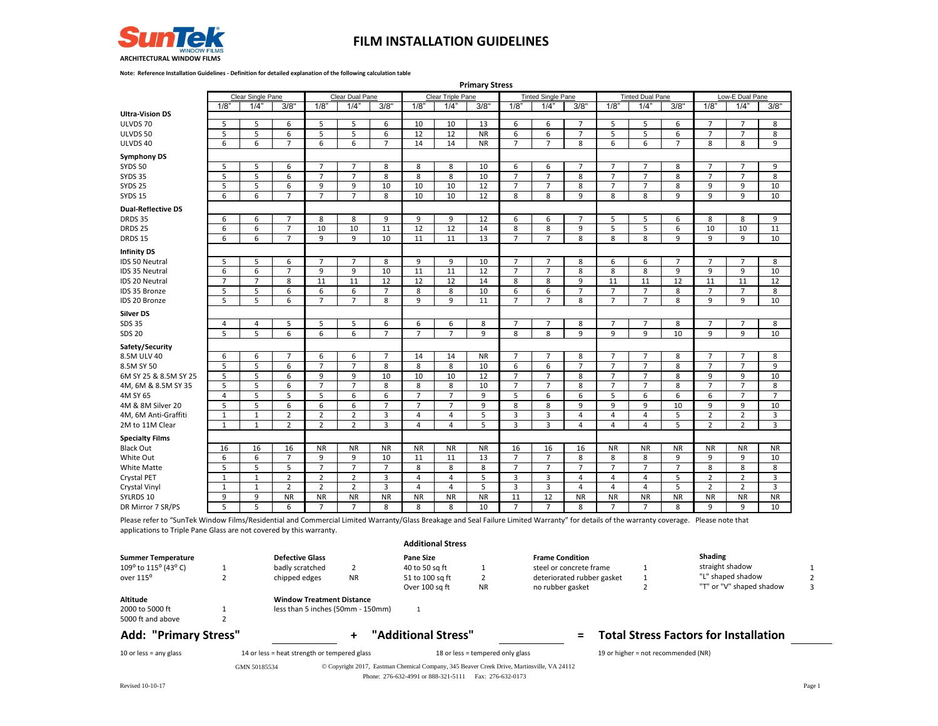

**Note: Reference Installation Guidelines - Definition for detailed explanation of the following calculation table**

|                           | <b>Primary Stress</b> |                   |                |                |                 |                |                |                   |                    |                |                           |                |                |                         |                |                    |                    |                |
|---------------------------|-----------------------|-------------------|----------------|----------------|-----------------|----------------|----------------|-------------------|--------------------|----------------|---------------------------|----------------|----------------|-------------------------|----------------|--------------------|--------------------|----------------|
|                           |                       | Clear Single Pane |                |                | Clear Dual Pane |                |                | Clear Triple Pane |                    |                | <b>Tinted Single Pane</b> |                |                | <b>Tinted Dual Pane</b> |                |                    | Low-E Dual Pane    |                |
|                           | 1/8                   | 1/4"              | 3/8"           | 1/8            | $1/4$ "         | 3/8"           | $1/8$ "        | 1/4"              | $\overline{3}/8$ " | 1/8            | 1/4"                      | 3/8"           | 1/8            | 1/4"                    | 3/8"           | $1/8$ <sup>*</sup> | $1/4$ <sup>*</sup> | 3/8"           |
| <b>Ultra-Vision DS</b>    |                       |                   |                |                |                 |                |                |                   |                    |                |                           |                |                |                         |                |                    |                    |                |
| ULVDS 70                  | 5                     | 5                 | 6              | 5              | 5               | 6              | 10             | 10                | 13                 | 6              | 6                         | $\overline{7}$ | 5              | 5                       | 6              | $\overline{7}$     | $\overline{7}$     | 8              |
| ULVDS 50                  | 5                     | 5                 | 6              | 5              | 5               | 6              | 12             | 12                | <b>NR</b>          | 6              | 6                         | $\overline{7}$ | 5              | 5                       | 6              | $\overline{7}$     | $\overline{7}$     | 8              |
| ULVDS 40                  | 6                     | 6                 | $\overline{7}$ | 6              | 6               | $\overline{7}$ | 14             | 14                | <b>NR</b>          | $\overline{7}$ | $\overline{7}$            | 8              | 6              | 6                       | $\overline{7}$ | 8                  | 8                  | 9              |
| <b>Symphony DS</b>        |                       |                   |                |                |                 |                |                |                   |                    |                |                           |                |                |                         |                |                    |                    |                |
| <b>SYDS 50</b>            | 5                     | 5                 | 6              | $\overline{7}$ | $\overline{7}$  | 8              | 8              | 8                 | 10                 | 6              | 6                         | $\overline{7}$ | $\overline{7}$ | $\overline{7}$          | 8              | $\overline{7}$     | $\overline{7}$     | 9              |
| <b>SYDS 35</b>            | 5                     | 5                 | 6              | $\overline{7}$ | 7               | 8              | 8              | 8                 | 10                 | $\overline{7}$ | $\overline{7}$            | 8              | $\overline{7}$ | $\overline{7}$          | 8              | $\overline{7}$     | $\overline{7}$     | 8              |
| <b>SYDS 25</b>            | 5                     | 5                 | 6              | 9              | 9               | 10             | 10             | 10                | 12                 | $\overline{7}$ | $\overline{7}$            | 8              | $\overline{7}$ | $\overline{7}$          | 8              | 9                  | 9                  | 10             |
| <b>SYDS 15</b>            | 6                     | 6                 | $\overline{7}$ | $\overline{7}$ | $\overline{7}$  | 8              | 10             | 10                | 12                 | 8              | 8                         | 9              | 8              | 8                       | 9              | 9                  | 9                  | 10             |
| <b>Dual-Reflective DS</b> |                       |                   |                |                |                 |                |                |                   |                    |                |                           |                |                |                         |                |                    |                    |                |
| DRDS 35                   | 6                     | 6                 | $\overline{7}$ | 8              | 8               | 9              | 9              | 9                 | 12                 | 6              | 6                         | $\overline{7}$ | 5              | 5                       | 6              | 8                  | 8                  | 9              |
| DRDS <sub>25</sub>        | 6                     | 6                 | $\overline{7}$ | 10             | 10              | 11             | 12             | 12                | 14                 | 8              | 8                         | 9              | 5              | 5                       | 6              | 10                 | 10                 | 11             |
| <b>DRDS 15</b>            | 6                     | 6                 | $\overline{7}$ | 9              | 9               | 10             | 11             | 11                | 13                 | $\overline{7}$ | $\overline{7}$            | 8              | 8              | 8                       | 9              | 9                  | 9                  | 10             |
| <b>Infinity DS</b>        |                       |                   |                |                |                 |                |                |                   |                    |                |                           |                |                |                         |                |                    |                    |                |
| IDS 50 Neutral            | 5                     | 5                 | 6              | $\overline{7}$ | $\overline{7}$  | 8              | 9              | 9                 | 10                 | $\overline{7}$ | $\overline{7}$            | 8              | 6              | 6                       | $\overline{7}$ | $\overline{7}$     | $\overline{7}$     | 8              |
| IDS 35 Neutral            | 6                     | 6                 | $\overline{7}$ | 9              | 9               | 10             | 11             | 11                | 12                 | $\overline{7}$ | $\overline{7}$            | 8              | 8              | 8                       | 9              | 9                  | 9                  | 10             |
| IDS 20 Neutral            | $\overline{7}$        | $\overline{7}$    | 8              | 11             | 11              | 12             | 12             | 12                | 14                 | 8              | 8                         | $\mathbf{q}$   | 11             | 11                      | 12             | 11                 | 11                 | 12             |
| IDS 35 Bronze             | 5                     | 5                 | 6              | 6              | 6               | $\overline{7}$ | 8              | 8                 | 10                 | 6              | 6                         | $\overline{7}$ | $\overline{7}$ | $\overline{7}$          | 8              | $\overline{7}$     | $7\overline{ }$    | 8              |
| <b>IDS 20 Bronze</b>      | 5                     | 5                 | 6              | $\overline{7}$ | $\overline{7}$  | 8              | 9              | 9                 | 11                 | $\overline{7}$ | $\overline{7}$            | 8              | $\overline{7}$ | $\overline{7}$          | 8              | 9                  | 9                  | 10             |
| <b>Silver DS</b>          |                       |                   |                |                |                 |                |                |                   |                    |                |                           |                |                |                         |                |                    |                    |                |
| <b>SDS 35</b>             | 4                     | 4                 | 5              | 5              | 5               | 6              | 6              | 6                 | 8                  | $\overline{7}$ | $\overline{7}$            | 8              | $\overline{7}$ | $\overline{7}$          | 8              | $\overline{7}$     | $\overline{7}$     | 8              |
| <b>SDS 20</b>             | 5                     | 5                 | 6              | 6              | 6               | $\overline{7}$ | $\overline{7}$ | $\overline{7}$    | 9                  | 8              | 8                         | 9              | 9              | 9                       | 10             | 9                  | 9                  | 10             |
| Safety/Security           |                       |                   |                |                |                 |                |                |                   |                    |                |                           |                |                |                         |                |                    |                    |                |
| 8.5M ULV 40               | 6                     | 6                 | $\overline{7}$ | 6              | 6               | $\overline{7}$ | 14             | 14                | <b>NR</b>          | $\overline{7}$ | $\overline{7}$            | 8              | $\overline{7}$ | $\overline{7}$          | 8              | $\overline{7}$     | $\overline{7}$     | 8              |
| 8.5M SY 50                | 5                     | 5                 | 6              | $\overline{7}$ | 7               | 8              | 8              | 8                 | 10                 | 6              | 6                         | $\overline{7}$ | $\overline{7}$ | $\overline{7}$          | 8              | $\overline{7}$     | $\overline{7}$     | 9              |
| 6M SY 25 & 8.5M SY 25     | 5                     | 5                 | 6              | 9              | 9               | 10             | 10             | 10                | 12                 | $\overline{7}$ | $\overline{7}$            | 8              | $\overline{7}$ | $\overline{7}$          | 8              | 9                  | 9                  | 10             |
| 4M, 6M & 8.5M SY 35       | 5                     | 5                 | 6              | $\overline{7}$ | $\overline{7}$  | 8              | 8              | 8                 | 10                 | $\overline{7}$ | $\overline{7}$            | 8              | $\overline{7}$ | $\overline{7}$          | 8              | $\overline{7}$     | $\overline{7}$     | 8              |
| 4M SY 65                  | 4                     | 5                 | 5              | 5              | 6               | 6              | $\overline{7}$ | $\overline{7}$    | 9                  | 5              | 6                         | 6              | 5              | 6                       | 6              | 6                  | $\overline{7}$     | $\overline{7}$ |
| 4M & 8M Silver 20         | 5                     | 5                 | 6              | 6              | 6               | $\overline{7}$ | $\overline{7}$ | $\overline{7}$    | 9                  | 8              | 8                         | 9              | 9              | 9                       | 10             | 9                  | 9                  | 10             |
| 4M, 6M Anti-Graffiti      | $\mathbf 1$           | $\mathbf{1}$      | $\overline{2}$ | $\overline{2}$ | $\overline{2}$  | 3              | $\overline{4}$ | $\overline{4}$    | 5                  | 3              | $\overline{3}$            | 4              | $\overline{4}$ | $\sqrt{4}$              | 5              | $\overline{2}$     | $\overline{2}$     | 3              |
| 2M to 11M Clear           | $\mathbf{1}$          | $\mathbf{1}$      | $\overline{2}$ | $\overline{2}$ | $\overline{2}$  | 3              | 4              | $\overline{4}$    | 5                  | 3              | $\overline{3}$            | 4              | $\overline{4}$ | $\overline{4}$          | 5              | $\overline{2}$     | $\overline{2}$     | 3              |
| <b>Specialty Films</b>    |                       |                   |                |                |                 |                |                |                   |                    |                |                           |                |                |                         |                |                    |                    |                |
| <b>Black Out</b>          | 16                    | 16                | 16             | <b>NR</b>      | <b>NR</b>       | <b>NR</b>      | <b>NR</b>      | <b>NR</b>         | <b>NR</b>          | 16             | 16                        | 16             | <b>NR</b>      | <b>NR</b>               | <b>NR</b>      | <b>NR</b>          | <b>NR</b>          | <b>NR</b>      |
| White Out                 | 6                     | 6                 | $\overline{7}$ | 9              | 9               | 10             | 11             | 11                | 13                 | $\overline{7}$ | $\overline{7}$            | 8              | 8              | 8                       | 9              | 9                  | 9                  | 10             |
| White Matte               | 5                     | 5                 | 5              | $\overline{7}$ | $\overline{7}$  | $\overline{7}$ | 8              | 8                 | 8                  | $\overline{7}$ | $\overline{7}$            | $\overline{7}$ | $\overline{7}$ | $\overline{7}$          | $\overline{7}$ | 8                  | 8                  | 8              |
| Crystal PET               | $\mathbf{1}$          | 1                 | $\overline{2}$ | $\overline{2}$ | $\overline{2}$  | 3              | $\overline{4}$ | $\overline{4}$    | 5                  | 3              | $\overline{\mathbf{3}}$   | $\overline{4}$ | $\overline{4}$ | $\overline{4}$          | 5              | $\overline{2}$     | $\overline{2}$     | 3              |
| Crystal Vinyl             | $\mathbf{1}$          | $\mathbf{1}$      | $\overline{2}$ | $\overline{2}$ | $\overline{2}$  | 3              | $\overline{4}$ | 4                 | 5                  | 3              | $\overline{3}$            | 4              | $\overline{4}$ | $\overline{4}$          | 5              | $\overline{2}$     | $\overline{2}$     | 3              |
| SYLRDS 10                 | 9                     | 9                 | <b>NR</b>      | <b>NR</b>      | <b>NR</b>       | <b>NR</b>      | <b>NR</b>      | <b>NR</b>         | <b>NR</b>          | 11             | 12                        | <b>NR</b>      | <b>NR</b>      | <b>NR</b>               | <b>NR</b>      | <b>NR</b>          | <b>NR</b>          | <b>NR</b>      |
| DR Mirror 7 SR/PS         | 5                     | 5                 | 6              | $\overline{7}$ | $\overline{7}$  | 8              | 8              | 8                 | 10                 | $\overline{7}$ | $\overline{7}$            | 8              | $\overline{7}$ | $\overline{7}$          | 8              | 9                  | 9                  | 10             |

Please refer to "SunTek Window Films/Residential and Commercial Limited Warranty/Glass Breakage and Seal Failure Limited Warranty" for details of the warranty coverage. Please note that applications to Triple Pane Glass are not covered by this warranty.

|                                                   |              |                                                                       |           | <b>Additional Stress</b>                                                                                                                            |                                  |                                                   |                                     |                                               |   |
|---------------------------------------------------|--------------|-----------------------------------------------------------------------|-----------|-----------------------------------------------------------------------------------------------------------------------------------------------------|----------------------------------|---------------------------------------------------|-------------------------------------|-----------------------------------------------|---|
| <b>Summer Temperature</b><br>109° to 115° (43° C) |              | <b>Defective Glass</b><br>badly scratched                             |           | <b>Pane Size</b><br>40 to 50 sa ft                                                                                                                  |                                  | <b>Frame Condition</b><br>steel or concrete frame |                                     | Shading<br>straight shadow                    |   |
| over 115 <sup>°</sup>                             |              | chipped edges                                                         | <b>NR</b> | 51 to 100 sq ft<br>Over 100 sq ft                                                                                                                   | <b>NR</b>                        | deteriorated rubber gasket<br>no rubber gasket    |                                     | "L" shaped shadow<br>"T" or "V" shaped shadow | ς |
| Altitude<br>2000 to 5000 ft<br>5000 ft and above  |              | <b>Window Treatment Distance</b><br>less than 5 inches (50mm - 150mm) |           |                                                                                                                                                     |                                  |                                                   |                                     |                                               |   |
| <b>Add: "Primary Stress"</b>                      |              |                                                                       | ٠.        | "Additional Stress"                                                                                                                                 |                                  | $=$                                               |                                     | <b>Total Stress Factors for Installation</b>  |   |
| 10 or less = $any$ glass                          |              | 14 or less = heat strength or tempered glass                          |           |                                                                                                                                                     | 18 or less = tempered only glass |                                                   | 19 or higher = not recommended (NR) |                                               |   |
|                                                   | GMN 50185534 |                                                                       |           | © Copyright 2017, Eastman Chemical Company, 345 Beaver Creek Drive, Martinsville, VA 24112<br>Phone: 276-632-4991 or 888-321-5111 Fax: 276-632-0173 |                                  |                                                   |                                     |                                               |   |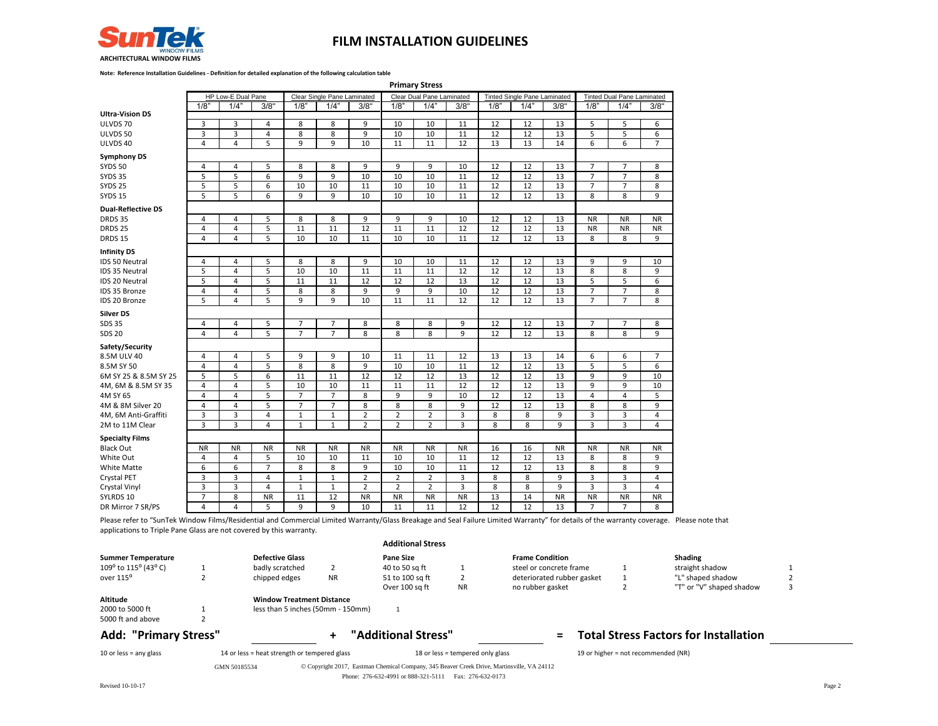

**Note: Reference Installation Guidelines - Definition for detailed explanation of the following calculation table**

 **Primary Stress** 

|                           |                | HP Low-E Dual Pane |                |                | <b>Clear Single Pane Laminated</b> |                |                | Clear Dual Pane Laminated |                |                 | <b>Tinted Single Pane Laminated</b> |                | <b>Tinted Dual Pane Laminated</b> |                         |                |
|---------------------------|----------------|--------------------|----------------|----------------|------------------------------------|----------------|----------------|---------------------------|----------------|-----------------|-------------------------------------|----------------|-----------------------------------|-------------------------|----------------|
|                           | 1/8"           | 1/4"               | 3/8"           | 1/8"           | 1/4"                               | 3/8"           | 1/8"           | 1/4"                      | 3/8"           | 1/8             | 1/4"                                | 3/8"           | 1/8"                              | 1/4"                    | 3/8"           |
| <b>Ultra-Vision DS</b>    |                |                    |                |                |                                    |                |                |                           |                |                 |                                     |                |                                   |                         |                |
| ULVDS 70                  | 3              | 3                  | $\overline{4}$ | 8              | 8                                  | 9              | 10             | 10                        | 11             | 12              | 12                                  | 13             | 5                                 | 5                       | 6              |
| ULVDS 50                  | 3              | 3                  | $\overline{4}$ | 8              | 8                                  | 9              | 10             | 10                        | 11             | 12              | 12                                  | 13             | 5                                 | 5                       | 6              |
| ULVDS 40                  | 4              | $\overline{4}$     | 5              | 9              | 9                                  | 10             | 11             | 11                        | 12             | 13              | 13                                  | 14             | $\overline{6}$                    | $\overline{6}$          | $\overline{7}$ |
|                           |                |                    |                |                |                                    |                |                |                           |                |                 |                                     |                |                                   |                         |                |
| <b>Symphony DS</b>        |                |                    |                |                |                                    |                |                |                           |                |                 |                                     |                |                                   |                         |                |
| <b>SYDS 50</b>            | $\overline{4}$ | 4                  | 5              | 8              | 8                                  | 9              | 9              | 9                         | 10             | 12              | 12                                  | 13             | $\overline{7}$                    | $\overline{7}$          | 8              |
| <b>SYDS 35</b>            | 5              | 5                  | 6              | 9              | 9                                  | 10             | 10             | 10                        | 11             | 12              | 12                                  | 13             | $\overline{7}$                    | $\overline{7}$          | 8              |
| <b>SYDS 25</b>            | 5              | 5                  | 6              | 10             | 10                                 | 11             | 10             | 10                        | 11             | 12              | 12                                  | 13             | $\overline{7}$                    | $\overline{7}$          | 8              |
| <b>SYDS 15</b>            | 5              | 5                  | 6              | 9              | 9                                  | 10             | 10             | 10                        | 11             | 12              | 12                                  | 13             | 8                                 | 8                       | 9              |
| <b>Dual-Reflective DS</b> |                |                    |                |                |                                    |                |                |                           |                |                 |                                     |                |                                   |                         |                |
| <b>DRDS 35</b>            | 4              | 4                  | 5              | 8              | 8                                  | $\overline{9}$ | 9              | 9                         | 10             | 12              | 12                                  | 13             | <b>NR</b>                         | <b>NR</b>               | <b>NR</b>      |
| <b>DRDS 25</b>            | $\overline{4}$ | 4                  | 5              | 11             | 11                                 | 12             | 11             | 11                        | 12             | 12              | 12                                  | 13             | <b>NR</b>                         | <b>NR</b>               | <b>NR</b>      |
| DRDS 15                   | $\overline{4}$ | $\overline{4}$     | 5              | 10             | 10                                 | 11             | 10             | 10                        | 11             | 12              | 12                                  | 13             | 8                                 | 8                       | 9              |
| <b>Infinity DS</b>        |                |                    |                |                |                                    |                |                |                           |                |                 |                                     |                |                                   |                         |                |
| IDS 50 Neutral            | $\overline{4}$ | 4                  | 5              | 8              | 8                                  | 9              | 10             | 10                        | 11             | 12              | 12                                  | 13             | 9                                 | 9                       | 10             |
| IDS 35 Neutral            | 5              | 4                  | 5              | 10             | 10                                 | 11             | 11             | 11                        | 12             | 12              | 12                                  | 13             | 8                                 | 8                       | 9              |
| IDS 20 Neutral            | 5              | $\overline{4}$     | 5              | 11             | 11                                 | 12             | 12             | 12                        | 13             | 12              | 12                                  | 13             | 5                                 | 5                       | 6              |
| IDS 35 Bronze             | $\overline{4}$ | 4                  | 5              | 8              | 8                                  | 9              | 9              | 9                         | 10             | 12              | 12                                  | 13             | $\overline{7}$                    | $\overline{7}$          | 8              |
| IDS 20 Bronze             | 5              | 4                  | 5              | 9              | 9                                  | 10             | 11             | 11                        | 12             | $\overline{12}$ | 12                                  | 13             | $\overline{7}$                    | $\overline{7}$          | 8              |
|                           |                |                    |                |                |                                    |                |                |                           |                |                 |                                     |                |                                   |                         |                |
| <b>Silver DS</b>          |                |                    |                |                |                                    |                |                |                           |                | 12              |                                     |                |                                   |                         |                |
| <b>SDS 35</b>             | $\overline{4}$ | 4                  | 5              | $\overline{7}$ | $\overline{7}$<br>$\overline{7}$   | 8              | 8              | 8                         | 9              |                 | 12                                  | 13             | $\overline{7}$                    | $\overline{7}$          | 8              |
| <b>SDS 20</b>             | 4              | 4                  | 5              | $\overline{7}$ |                                    | 8              | 8              | 8                         | 9              | 12              | 12                                  | 13             | 8                                 | 8                       | 9              |
| Safety/Security           |                |                    |                |                |                                    |                |                |                           |                |                 |                                     |                |                                   |                         |                |
| 8.5M ULV 40               | 4              | $\overline{4}$     | 5              | 9              | 9                                  | 10             | 11             | 11                        | 12             | 13              | 13                                  | 14             | 6                                 | 6                       | $\overline{7}$ |
| 8.5M SY 50                | 4              | 4                  | 5              | 8              | 8                                  | 9              | 10             | 10                        | 11             | 12              | 12                                  | 13             | 5                                 | 5                       | 6              |
| 6M SY 25 & 8.5M SY 25     | 5              | 5                  | 6              | 11             | 11                                 | 12             | 12             | 12                        | 13             | 12              | 12                                  | 13             | 9                                 | 9                       | 10             |
| 4M, 6M & 8.5M SY 35       | $\overline{4}$ | 4                  | 5              | 10             | 10                                 | 11             | 11             | 11                        | 12             | 12              | 12                                  | 13             | 9                                 | 9                       | 10             |
| 4M SY 65                  | 4              | 4                  | 5              | $\overline{7}$ | $\overline{7}$                     | 8              | 9              | 9                         | 10             | 12              | 12                                  | 13             | 4                                 | 4                       | 5              |
| 4M & 8M Silver 20         | $\overline{4}$ | 4                  | 5              | $\overline{7}$ | $\overline{7}$                     | 8              | 8              | 8                         | 9              | 12              | 12                                  | 13             | 8                                 | 8                       | 9              |
| 4M, 6M Anti-Graffiti      | 3              | $\overline{3}$     | $\overline{4}$ | $\mathbf{1}$   | $\mathbf{1}$                       | $\overline{2}$ | $\overline{2}$ | $\overline{2}$            | 3              | 8               | 8                                   | $\overline{9}$ | $\overline{3}$                    | $\overline{\mathbf{3}}$ | $\overline{4}$ |
| 2M to 11M Clear           | 3              | $\overline{3}$     | $\overline{4}$ | $\mathbf 1$    | $\mathbf{1}$                       | $\overline{2}$ | $\overline{2}$ | $\overline{2}$            | 3              | 8               | 8                                   | 9              | 3                                 | 3                       | 4              |
| <b>Specialty Films</b>    |                |                    |                |                |                                    |                |                |                           |                |                 |                                     |                |                                   |                         |                |
| <b>Black Out</b>          | <b>NR</b>      | <b>NR</b>          | <b>NR</b>      | <b>NR</b>      | <b>NR</b>                          | <b>NR</b>      | <b>NR</b>      | <b>NR</b>                 | <b>NR</b>      | 16              | 16                                  | <b>NR</b>      | <b>NR</b>                         | <b>NR</b>               | <b>NR</b>      |
| White Out                 | 4              | 4                  | 5              | 10             | 10                                 | 11             | 10             | 10                        | 11             | 12              | 12                                  | 13             | 8                                 | 8                       | 9              |
| <b>White Matte</b>        | 6              | 6                  | $\overline{7}$ | 8              | 8                                  | $\overline{9}$ | 10             | 10                        | 11             | 12              | 12                                  | 13             | 8                                 | 8                       | 9              |
| Crystal PET               | 3              | 3                  | $\overline{4}$ | $\mathbf{1}$   | $\mathbf{1}$                       | $\overline{2}$ | $\overline{2}$ | $\overline{2}$            | $\overline{3}$ | 8               | 8                                   | 9              | 3                                 | 3                       | $\overline{4}$ |
| Crystal Vinyl             | 3              | 3                  | $\overline{4}$ | $\mathbf{1}$   | $\mathbf 1$                        | $\overline{2}$ | $\overline{2}$ | $\overline{2}$            | 3              | 8               | 8                                   | 9              | 3                                 | 3                       | 4              |
| SYLRDS 10                 | $\overline{7}$ | 8                  | <b>NR</b>      | 11             | 12                                 | <b>NR</b>      | <b>NR</b>      | <b>NR</b>                 | <b>NR</b>      | 13              | 14                                  | <b>NR</b>      | <b>NR</b>                         | <b>NR</b>               | <b>NR</b>      |
| DR Mirror 7 SR/PS         | 4              | 4                  | 5              | 9              | 9                                  | 10             | 11             | 11                        | 12             | 12              | 12                                  | 13             | $\overline{7}$                    | $\overline{7}$          | 8              |

Please refer to "SunTek Window Films/Residential and Commercial Limited Warranty/Glass Breakage and Seal Failure Limited Warranty" for details of the warranty coverage. Please note that applications to Triple Pane Glass are not covered by this warranty.

## **Additional Stress Summer Temperature Defective Glass Pane Size Pane Size Frame Condition Shading** 109<sup>o</sup> to 115<sup>o</sup> (43<sup>o</sup> C) 1 badly scratched 2 40 to 50 sq ft 1 steel or concrete frame 1 straight shadow 1 over 115<sup>o</sup> 2 chipped edges NR 51 to 100 sq ft 2 deteriorated rubber gasket 1 "L" shaped shadow 2 Over 100 sq ft NR no rubber gasket 2 "T" or "V" shaped shadow 3 **Altitude Window Treatment Distance**<br>2000 to 5000 ft 1 less than 5 inches (50mm - 15 1 less than 5 inches (50mm - 150mm) 1 5000 ft and above **Add: "Primary Stress" + "Additional Stress" = Total Stress Factors for Installation** 10 or less = any glass 14 or less = heat strength or tempered glass 18 or less = tempered only glass 19 or higher = not recommended (NR)

GMN 50185534 Copyright 2017, Eastman Chemical Company, 345 Beaver Creek Drive, Martinsville, VA 24112 Phone: 276-632-4991 or 888-321-5111 Fax: 276-632-0173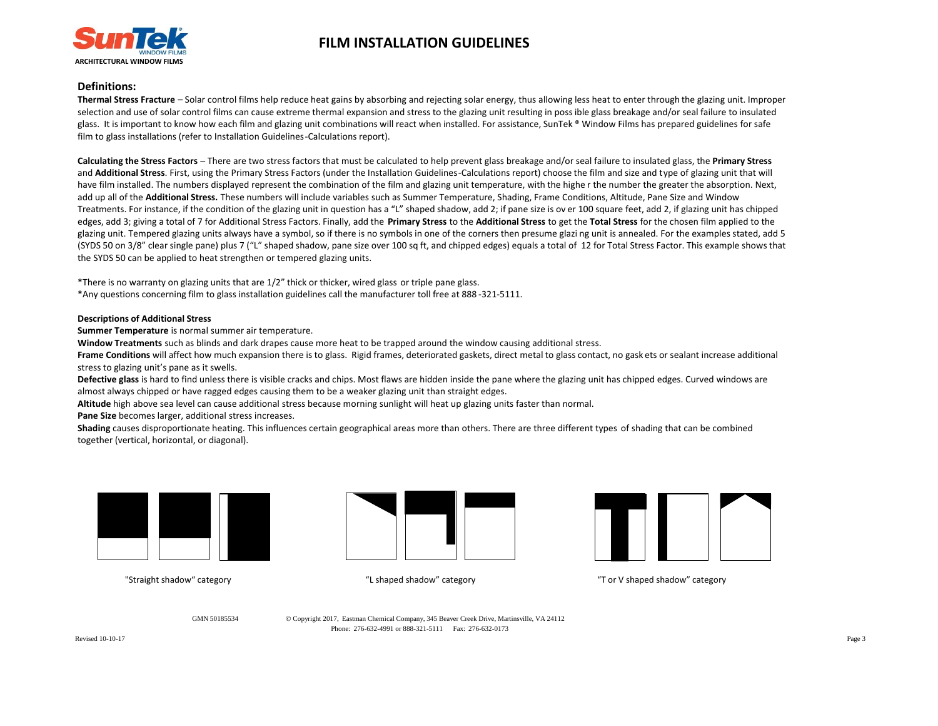

## **Definitions:**

**Thermal Stress Fracture** – Solar control films help reduce heat gains by absorbing and rejecting solar energy, thus allowing less heat to enter through the glazing unit. Improper selection and use of solar control films can cause extreme thermal expansion and stress to the glazing unit resulting in poss ible glass breakage and/or seal failure to insulated glass. It is important to know how each film and glazing unit combinations will react when installed. For assistance, SunTek ® Window Films has prepared guidelines for safe film to glass installations (refer to Installation Guidelines-Calculations report).

**Calculating the Stress Factors** – There are two stress factors that must be calculated to help prevent glass breakage and/or seal failure to insulated glass, the **Primary Stress** and Additional Stress. First, using the Primary Stress Factors (under the Installation Guidelines-Calculations report) choose the film and size and type of glazing unit that will have film installed. The numbers displayed represent the combination of the film and glazing unit temperature, with the highe r the number the greater the absorption. Next, add up all of the **Additional Stress.** These numbers will include variables such as Summer Temperature, Shading, Frame Conditions, Altitude, Pane Size and Window Treatments. For instance, if the condition of the glazing unit in question has a "L" shaped shadow, add 2; if pane size is ov er 100 square feet, add 2, if glazing unit has chipped edges, add 3; giving a total of 7 for Additional Stress Factors. Finally, add the **Primary Stress** to the **Additional Stress** to get the **Total Stress** for the chosen film applied to the glazing unit. Tempered glazing units always have a symbol, so if there is no symbols in one of the corners then presume glazi ng unit is annealed. For the examples stated, add 5 (SYDS 50 on 3/8" clear single pane) plus 7 ("L" shaped shadow, pane size over 100 sq ft, and chipped edges) equals a total of 12 for Total Stress Factor. This example shows that the SYDS 50 can be applied to heat strengthen or tempered glazing units.

\*There is no warranty on glazing units that are 1/2" thick or thicker, wired glass or triple pane glass. \*Any questions concerning film to glass installation guidelines call the manufacturer toll free at 888 -321-5111.

### **Descriptions of Additional Stress**

**Summer Temperature** is normal summer air temperature.

**Window Treatments** such as blinds and dark drapes cause more heat to be trapped around the window causing additional stress.

**Frame Conditions** will affect how much expansion there is to glass. Rigid frames, deteriorated gaskets, direct metal to glass contact, no gaskets or sealant increase additional stress to glazing unit's pane as it swells.

**Defective glass** is hard to find unless there is visible cracks and chips. Most flaws are hidden inside the pane where the glazing unit has chipped edges. Curved windows are almost always chipped or have ragged edges causing them to be a weaker glazing unit than straight edges.

**Altitude** high above sea level can cause additional stress because morning sunlight will heat up glazing units faster than normal.

**Pane Size** becomes larger, additional stress increases.

**Shading** causes disproportionate heating. This influences certain geographical areas more than others. There are three different types of shading that can be combined together (vertical, horizontal, or diagonal).







"Straight shadow" category "L shaped shadow" category "T or V shaped shadow" category

GMN 50185534 Copyright 2017, Eastman Chemical Company, 345 Beaver Creek Drive, Martinsville, VA 24112 Phone: 276-632-4991 or 888-321-5111 Fax: 276-632-0173

Revised 10-10-17 Page 3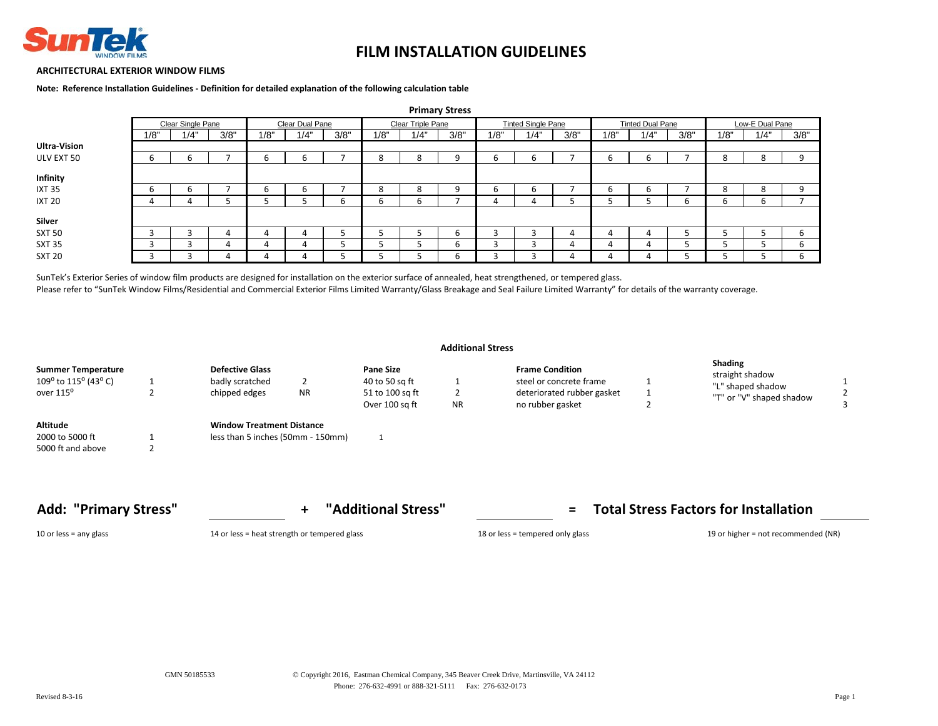

### **ARCHITECTURAL EXTERIOR WINDOW FILMS**

**Note: Reference Installation Guidelines - Definition for detailed explanation of the following calculation table**

|                     |      |                                      |      |      |      |      |                   |      | <b>Primary Stress</b> |                           |      |      |                         |      |      |      |                 |      |
|---------------------|------|--------------------------------------|------|------|------|------|-------------------|------|-----------------------|---------------------------|------|------|-------------------------|------|------|------|-----------------|------|
|                     |      | Clear Single Pane<br>Clear Dual Pane |      |      |      |      | Clear Triple Pane |      |                       | <b>Tinted Single Pane</b> |      |      | <b>Tinted Dual Pane</b> |      |      |      | Low-E Dual Pane |      |
|                     | 1/8" | 1/4"                                 | 3/8" | 1/8" | 1/4" | 3/8" | 1/8"              | 1/4" | 3/8"                  | 1/8"                      | 1/4" | 3/8" | 1/8"                    | 1/4" | 3/8" | 1/8" | 1/4"            | 3/8" |
| <b>Ultra-Vision</b> |      |                                      |      |      |      |      |                   |      |                       |                           |      |      |                         |      |      |      |                 |      |
| ULV EXT 50          |      | b                                    |      | b    | b    |      | 8                 | 8    | 9                     | b                         | b    |      | b                       | b    |      | 8    | Ο               | 9    |
| Infinity            |      |                                      |      |      |      |      |                   |      |                       |                           |      |      |                         |      |      |      |                 |      |
| <b>IXT 35</b>       |      | b                                    |      | b    | b    |      | 8                 | 8    | q                     | h                         | b    |      | b                       | b    |      | 8    | ŏ               | q    |
| <b>IXT 20</b>       |      | 4                                    |      |      |      | b    | b                 | b    |                       | 4                         |      |      |                         |      | ь    | h    | b               |      |
| Silver              |      |                                      |      |      |      |      |                   |      |                       |                           |      |      |                         |      |      |      |                 |      |
| <b>SXT 50</b>       |      | В                                    |      |      |      |      |                   |      | b                     | ٠                         |      |      |                         | 4    |      |      |                 | b    |
| <b>SXT 35</b>       |      | n                                    | 4    | 4    |      |      |                   |      | b                     |                           |      | 4    | д                       | 4    |      |      |                 | h    |
| <b>SXT 20</b>       |      |                                      |      |      |      |      |                   | Ξ    | b                     |                           |      |      |                         | 4    | כ    |      |                 | b    |

SunTek's Exterior Series of window film products are designed for installation on the exterior surface of annealed, heat strengthened, or tempered glass.

Please refer to "SunTek Window Films/Residential and Commercial Exterior Films Limited Warranty/Glass Breakage and Seal Failure Limited Warranty" for details of the warranty coverage.

|                                                                            |   |                                                                         |                                                                         | <b>Additional Stress</b> |                                                                                                     |                                                                                    |  |
|----------------------------------------------------------------------------|---|-------------------------------------------------------------------------|-------------------------------------------------------------------------|--------------------------|-----------------------------------------------------------------------------------------------------|------------------------------------------------------------------------------------|--|
| <b>Summer Temperature</b><br>109° to 115° (43° C)<br>over 115 <sup>o</sup> |   | <b>Defective Glass</b><br>badly scratched<br>chipped edges<br><b>NR</b> | <b>Pane Size</b><br>40 to 50 sq ft<br>51 to 100 sq ft<br>Over 100 sq ft | ∠<br><b>NR</b>           | <b>Frame Condition</b><br>steel or concrete frame<br>deteriorated rubber gasket<br>no rubber gasket | <b>Shading</b><br>straight shadow<br>"L" shaped shadow<br>"T" or "V" shaped shadow |  |
| Altitude<br>2000 to 5000 ft<br>5000 ft and above                           | ے | <b>Window Treatment Distance</b><br>less than 5 inches (50mm - 150mm)   |                                                                         |                          |                                                                                                     |                                                                                    |  |

**Add: "Primary Stress" + "Additional Stress" = Total Stress Factors for Installation**

10 or less = any glass 14 or less = heat strength or tempered glass 18 or less = tempered only glass 19 or higher = not recommended (NR)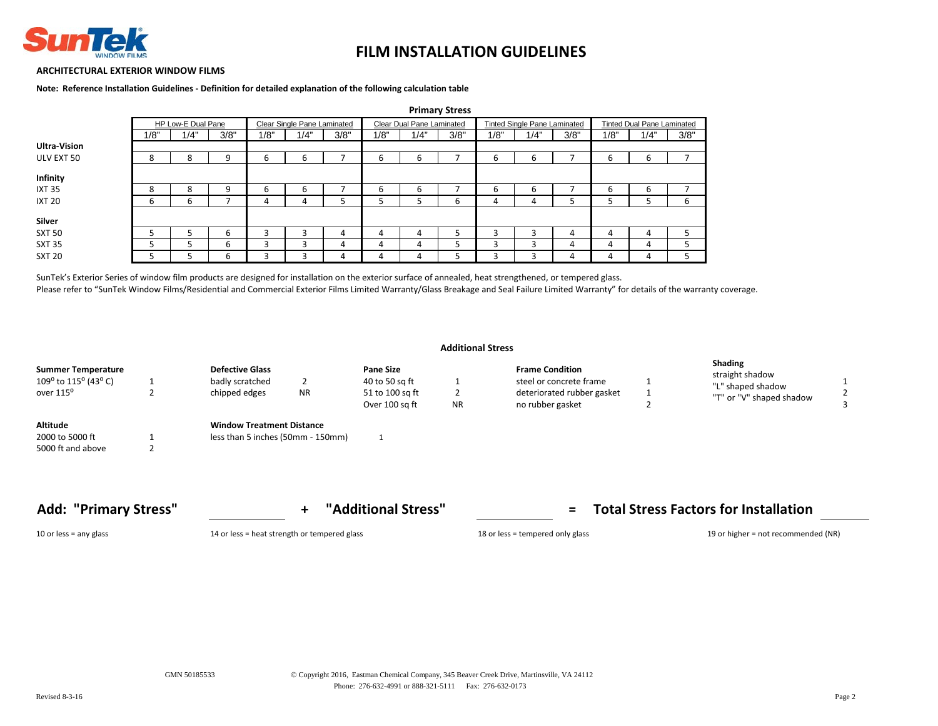

### **ARCHITECTURAL EXTERIOR WINDOW FILMS**

**Note: Reference Installation Guidelines - Definition for detailed explanation of the following calculation table**

|                     |      |                    |      |      |                             |      |      |                           | 11111101 y Julie 33 |      |                                     |      |      |                                   |                |
|---------------------|------|--------------------|------|------|-----------------------------|------|------|---------------------------|---------------------|------|-------------------------------------|------|------|-----------------------------------|----------------|
|                     |      | HP Low-E Dual Pane |      |      | Clear Single Pane Laminated |      |      | Clear Dual Pane Laminated |                     |      | <b>Tinted Single Pane Laminated</b> |      |      | <b>Tinted Dual Pane Laminated</b> |                |
|                     | 1/8" | 1/4"               | 3/8" | 1/8" | 1/4"                        | 3/8" | 1/8" | 1/4"                      | 3/8"                | 1/8" | 1/4"                                | 3/8" | 1/8" | 1/4"                              | 3/8"           |
| <b>Ultra-Vision</b> |      |                    |      |      |                             |      |      |                           |                     |      |                                     |      |      |                                   |                |
| ULV EXT 50          | 8    | 8                  | 9    | ь    |                             |      | 6    | ь                         |                     | ь    | ь                                   |      | 6    | ь                                 | $\overline{ }$ |
| Infinity            |      |                    |      |      |                             |      |      |                           |                     |      |                                     |      |      |                                   |                |
| <b>IXT 35</b>       | 8    | 8                  | 9    | b    | b                           |      | b    | ь                         |                     | b    | b                                   |      | b    | b                                 |                |
| <b>IXT 20</b>       | ь    | b                  |      |      |                             |      |      |                           | 6                   |      |                                     |      |      |                                   | ь              |
| Silver              |      |                    |      |      |                             |      |      |                           |                     |      |                                     |      |      |                                   |                |
| <b>SXT 50</b>       |      |                    | b    |      |                             | 4    | 4    | 4                         |                     |      |                                     | 4    | 4    | 4                                 |                |
| SXT 35              |      |                    | b    |      |                             | 4    | 4    | 4                         | כ                   | ς    | 3                                   | 4    | 4    | 4                                 |                |
| <b>SXT 20</b>       |      |                    | b    |      |                             | 4    | 4    | 4                         |                     |      |                                     | 4    | 4    | 4                                 |                |

 **Primary Stress** 

SunTek's Exterior Series of window film products are designed for installation on the exterior surface of annealed, heat strengthened, or tempered glass. Please refer to "SunTek Window Films/Residential and Commercial Exterior Films Limited Warranty/Glass Breakage and Seal Failure Limited Warranty" for details of the warranty coverage.

| <b>Additional Stress</b> |  |
|--------------------------|--|
|--------------------------|--|

| Summer Temperature<br>109° to 115° (43° C) | <b>Defective Glass</b><br>badly scratched |           | <b>Pane Size</b><br>40 to 50 sq ft |           | <b>Frame Condition</b><br>steel or concrete frame | <b>Shading</b><br>straight shadow<br>"L" shaped shadow |  |
|--------------------------------------------|-------------------------------------------|-----------|------------------------------------|-----------|---------------------------------------------------|--------------------------------------------------------|--|
| over 115°                                  | chipped edges                             | <b>NR</b> | 51 to 100 sq ft<br>Over 100 sq ft  | <b>NR</b> | deteriorated rubber gasket<br>no rubber gasket    | "T" or "V" shaped shadow                               |  |

| <b>Shading</b>           |
|--------------------------|
| straight shadow          |
| "L" shaped shadow        |
| "T" or "V" shaped shadow |

**Add: "Primary Stress" + "Additional Stress" = Total Stress Factors for Installation**

5000 ft and above 2

10 or less = any glass 14 or less = heat strength or tempered glass 18 or less = tempered only glass 19 or higher = not recommended (NR)

2000 to 5000 ft 1 less than 5 inches (50mm - 150mm) 1

**Altitude Window Treatment Distance**